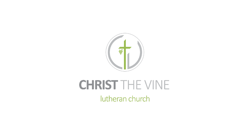

# **CHRIST THE VINE** lutheran church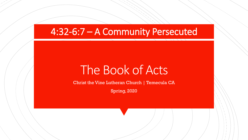# 4:32-6:7 – A Community Persecuted

# The Book of Acts

Christ the Vine Lutheran Church | Temecula CA

Spring, 2020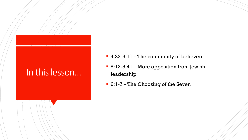# In this lesson...

- 4:32-5:11 The community of believers
- 5:12-5:41 More opposition from Jewish leadership
- 6:1-7 The Choosing of the Seven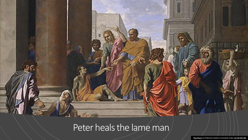# Peter heals the lame man/

[This Photo](http://www.wikigallery.org/wiki/painting_296031/Nicolas-Poussin/Saints-Peter-and-John-Healing-the-Lame-Man-1655) by Unknown Author is licensed under [CC BY-NC-ND](https://creativecommons.org/licenses/by-nc-nd/3.0/)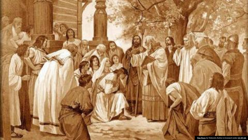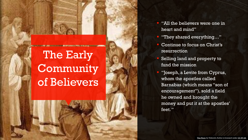The Early Community of Believers

- "All the believers were one in heart and mind"
- "They shared everything..."
- Continue to focus on Christ's resurrection
- Selling land and property to fund the mission
- "Joseph, a Levite from Cyprus, whom the apostles called Barnabas (which means "son of encouragement"), sold a field he owned and brought the money and put it at the apostles' feet. "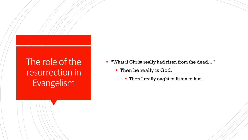# The role of the resurrection in Evangelism

- "What if Christ really had risen from the dead..."
	- **Then he really is God.** 
		- **Then I really ought to listen to him.**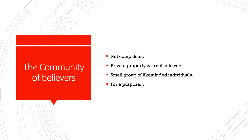# The Community of believers

- Not compulsory
- **Private property was still allowed.**
- **EXMALLE Small group of likeminded individuals.**
- For a purpose...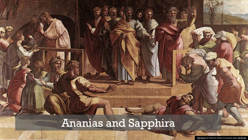# Ananias and Sapphira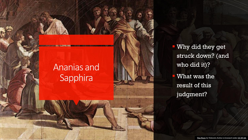# Ananias and Sapphira

**Why did they get** struck down? (and who did it)? **What was the** result of this judgment?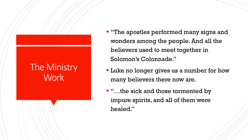## The Ministry **Work**

- **·** "The apostles performed many signs and wonders among the people. And all the believers used to meet together in Solomon's Colonnade."
- **Luke no longer gives us a number for how** many believers there now are.
- "…the sick and those tormented by impure spirits, and all of them were healed."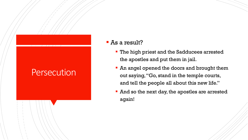#### ■ As a result?

- **The high priest and the Sadducees arrested** the apostles and put them in jail.
- **An angel opened the doors and brought them** out saying, "Go, stand in the temple courts, and tell the people all about this new life."
- **And so the next day, the apostles are arrested** again!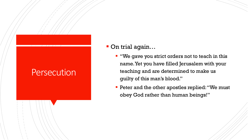### ■ On trial again...

- "We gave you strict orders not to teach in this name. Yet you have filled Jerusalem with your teaching and are determined to make us guilty of this man's blood."
- **Peter and the other apostles replied: "We must** obey God rather than human beings!"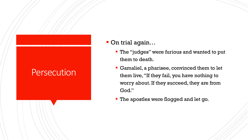### ■ On trial again...

- **The "judges" were furious and wanted to put** them to death.
- Gamaliel, a pharisee, convinced them to let them live, "If they fail, you have nothing to worry about. If they succeed, they are from God."
- **The apostles were flogged and let go.**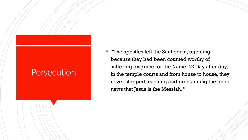**T** "The apostles left the Sanhedrin, rejoicing because they had been counted worthy of suffering disgrace for the Name. 42 Day after day, in the temple courts and from house to house, they never stopped teaching and proclaiming the good news that Jesus is the Messiah. "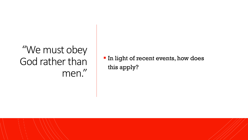# "We must obey God rather than men."

**In light of recent events, how does** this apply?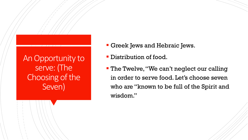An Opportunity to serve: (The Choosing of the Seven)

- Greek Jews and Hebraic Jews.
- **Distribution of food.**
- **The Twelve, "We can't neglect our calling** in order to serve food. Let's choose seven who are "known to be full of the Spirit and wisdom."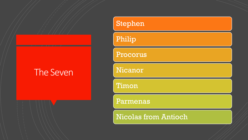### The Seven

# Stephen Philip Procorus Nicanor Timon Parmenas

Nicolas from Antioch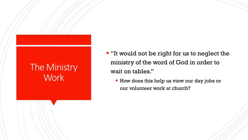# The Ministry **Work**

- "It would not be right for us to neglect the ministry of the word of God in order to wait on tables."
	- **EX How does this help us view our day jobs or** our volunteer work at church?